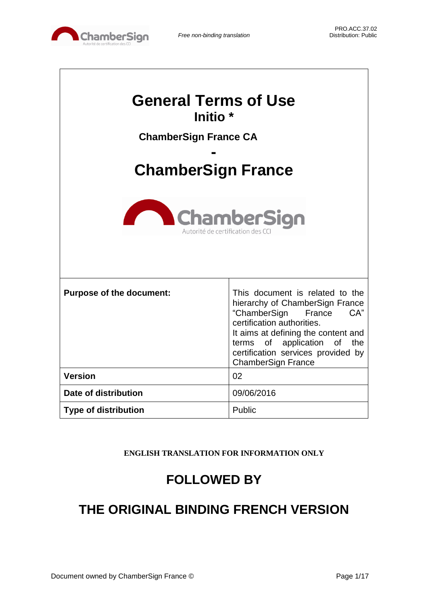

| <b>General Terms of Use</b><br>Initio <sup>*</sup>                                  |                                                                                                                                                                                                                                                                            |  |
|-------------------------------------------------------------------------------------|----------------------------------------------------------------------------------------------------------------------------------------------------------------------------------------------------------------------------------------------------------------------------|--|
| <b>ChamberSign France CA</b>                                                        |                                                                                                                                                                                                                                                                            |  |
|                                                                                     |                                                                                                                                                                                                                                                                            |  |
| <b>ChamberSign France</b><br><b>ChamberSign</b><br>Autorité de certification des CC |                                                                                                                                                                                                                                                                            |  |
|                                                                                     |                                                                                                                                                                                                                                                                            |  |
| <b>Purpose of the document:</b>                                                     | This document is related to the<br>hierarchy of ChamberSign France<br>CA"<br>"ChamberSign France<br>certification authorities.<br>It aims at defining the content and<br>terms of application of<br>the<br>certification services provided by<br><b>ChamberSign France</b> |  |
| <b>Version</b>                                                                      | 02                                                                                                                                                                                                                                                                         |  |
| Date of distribution                                                                | 09/06/2016                                                                                                                                                                                                                                                                 |  |
| <b>Type of distribution</b>                                                         | Public                                                                                                                                                                                                                                                                     |  |

**ENGLISH TRANSLATION FOR INFORMATION ONLY**

# **FOLLOWED BY**

# **THE ORIGINAL BINDING FRENCH VERSION**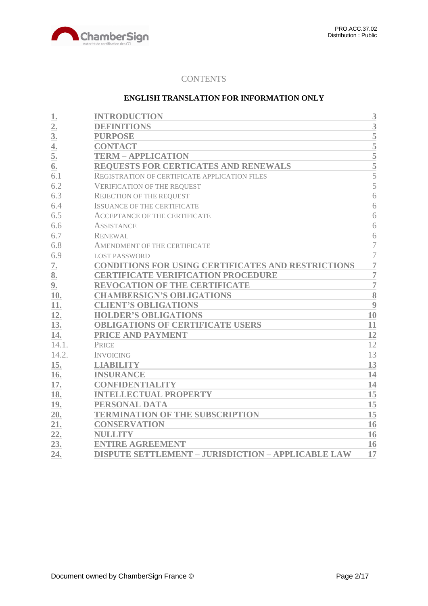

## **CONTENTS**

## **ENGLISH TRANSLATION FOR INFORMATION ONLY**

| 1.               | <b>INTRODUCTION</b>                                       | 3              |
|------------------|-----------------------------------------------------------|----------------|
| $\overline{2}$ . | <b>DEFINITIONS</b>                                        | 3              |
| 3 <sub>l</sub>   | <b>PURPOSE</b>                                            | 5              |
| 4.               | <b>CONTACT</b>                                            | $\overline{5}$ |
| 5.               | <b>TERM - APPLICATION</b>                                 | 5              |
| 6.               | REQUESTS FOR CERTICATES AND RENEWALS                      | $\overline{5}$ |
| 6.1              | REGISTRATION OF CERTIFICATE APPLICATION FILES             | 5              |
| 6.2              | <b>VERIFICATION OF THE REQUEST</b>                        | 5              |
| 6.3              | <b>REJECTION OF THE REQUEST</b>                           | 6              |
| 6.4              | <b>ISSUANCE OF THE CERTIFICATE</b>                        | 6              |
| 6.5              | <b>ACCEPTANCE OF THE CERTIFICATE</b>                      | 6              |
| 6.6              | <b>ASSISTANCE</b>                                         | 6              |
| 6.7              | <b>RENEWAL</b>                                            | 6              |
| 6.8              | AMENDMENT OF THE CERTIFICATE                              | $\overline{7}$ |
| 6.9              | <b>LOST PASSWORD</b>                                      | $\overline{7}$ |
| 7.               | <b>CONDITIONS FOR USING CERTIFICATES AND RESTRICTIONS</b> | $\overline{7}$ |
| 8.               | <b>CERTIFICATE VERIFICATION PROCEDURE</b>                 | $\overline{7}$ |
| 9.               | <b>REVOCATION OF THE CERTIFICATE</b>                      | $\overline{7}$ |
| 10.              | <b>CHAMBERSIGN'S OBLIGATIONS</b>                          | 8              |
| 11.              | <b>CLIENT'S OBLIGATIONS</b>                               | 9              |
| 12.              | <b>HOLDER'S OBLIGATIONS</b>                               | 10             |
| 13.              | <b>OBLIGATIONS OF CERTIFICATE USERS</b>                   | 11             |
| 14.              | PRICE AND PAYMENT                                         | 12             |
| 14.1.            | <b>PRICE</b>                                              | 12             |
| 14.2.            | <b>INVOICING</b>                                          | 13             |
| 15.              | <b>LIABILITY</b>                                          | 13             |
| 16.              | <b>INSURANCE</b>                                          | 14             |
| 17.              | <b>CONFIDENTIALITY</b>                                    | 14             |
| 18.              | <b>INTELLECTUAL PROPERTY</b>                              | 15             |
| 19.              | PERSONAL DATA                                             | 15             |
| 20.              | <b>TERMINATION OF THE SUBSCRIPTION</b>                    | 15             |
| 21.              | <b>CONSERVATION</b>                                       | 16             |
| 22.              | <b>NULLITY</b>                                            | 16             |
| 23.              | <b>ENTIRE AGREEMENT</b>                                   | 16             |
| 24.              | <b>DISPUTE SETTLEMENT - JURISDICTION - APPLICABLE LAW</b> | 17             |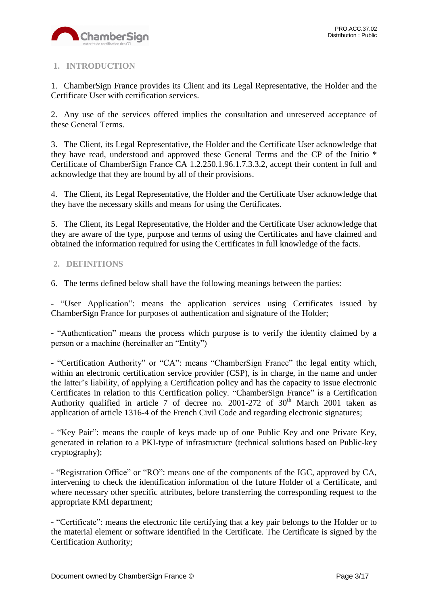

# <span id="page-2-0"></span>**1. INTRODUCTION**

1. ChamberSign France provides its Client and its Legal Representative, the Holder and the Certificate User with certification services.

2. Any use of the services offered implies the consultation and unreserved acceptance of these General Terms.

3. The Client, its Legal Representative, the Holder and the Certificate User acknowledge that they have read, understood and approved these General Terms and the CP of the Initio \* Certificate of ChamberSign France CA 1.2.250.1.96.1.7.3.3.2, accept their content in full and acknowledge that they are bound by all of their provisions.

4. The Client, its Legal Representative, the Holder and the Certificate User acknowledge that they have the necessary skills and means for using the Certificates.

5. The Client, its Legal Representative, the Holder and the Certificate User acknowledge that they are aware of the type, purpose and terms of using the Certificates and have claimed and obtained the information required for using the Certificates in full knowledge of the facts.

## <span id="page-2-1"></span>**2. DEFINITIONS**

6. The terms defined below shall have the following meanings between the parties:

- "User Application": means the application services using Certificates issued by ChamberSign France for purposes of authentication and signature of the Holder;

- "Authentication" means the process which purpose is to verify the identity claimed by a person or a machine (hereinafter an "Entity")

- "Certification Authority" or "CA": means "ChamberSign France" the legal entity which, within an electronic certification service provider (CSP), is in charge, in the name and under the latter's liability, of applying a Certification policy and has the capacity to issue electronic Certificates in relation to this Certification policy. "ChamberSign France" is a Certification Authority qualified in article 7 of decree no. 2001-272 of  $30<sup>th</sup>$  March 2001 taken as application of article 1316-4 of the French Civil Code and regarding electronic signatures;

**-** "Key Pair": means the couple of keys made up of one Public Key and one Private Key, generated in relation to a PKI-type of infrastructure (technical solutions based on Public-key cryptography);

**-** "Registration Office" or "RO": means one of the components of the IGC, approved by CA, intervening to check the identification information of the future Holder of a Certificate, and where necessary other specific attributes, before transferring the corresponding request to the appropriate KMI department;

- "Certificate": means the electronic file certifying that a key pair belongs to the Holder or to the material element or software identified in the Certificate. The Certificate is signed by the Certification Authority;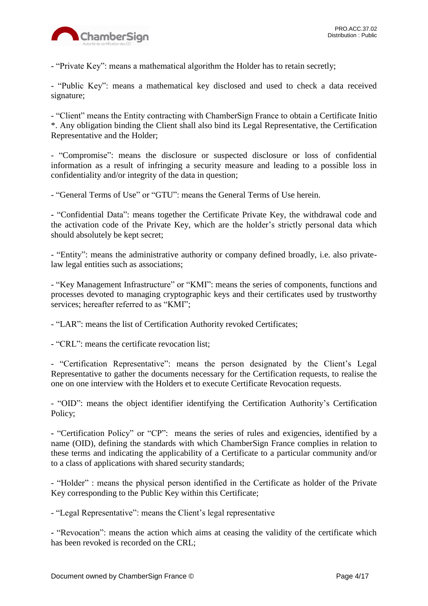

- "Private Key": means a mathematical algorithm the Holder has to retain secretly;

- "Public Key": means a mathematical key disclosed and used to check a data received signature;

- "Client" means the Entity contracting with ChamberSign France to obtain a Certificate Initio \*. Any obligation binding the Client shall also bind its Legal Representative, the Certification Representative and the Holder;

- "Compromise": means the disclosure or suspected disclosure or loss of confidential information as a result of infringing a security measure and leading to a possible loss in confidentiality and/or integrity of the data in question;

- "General Terms of Use" or "GTU": means the General Terms of Use herein.

**-** "Confidential Data": means together the Certificate Private Key, the withdrawal code and the activation code of the Private Key, which are the holder's strictly personal data which should absolutely be kept secret;

- "Entity": means the administrative authority or company defined broadly, i.e. also privatelaw legal entities such as associations;

- "Key Management Infrastructure" or "KMI": means the series of components, functions and processes devoted to managing cryptographic keys and their certificates used by trustworthy services: hereafter referred to as "KMI":

- "LAR": means the list of Certification Authority revoked Certificates;

- "CRL": means the certificate revocation list;

- "Certification Representative": means the person designated by the Client's Legal Representative to gather the documents necessary for the Certification requests, to realise the one on one interview with the Holders et to execute Certificate Revocation requests.

- "OID": means the object identifier identifying the Certification Authority's Certification Policy;

**-** "Certification Policy" or "CP": means the series of rules and exigencies, identified by a name (OID), defining the standards with which ChamberSign France complies in relation to these terms and indicating the applicability of a Certificate to a particular community and/or to a class of applications with shared security standards;

- "Holder" : means the physical person identified in the Certificate as holder of the Private Key corresponding to the Public Key within this Certificate;

- "Legal Representative": means the Client's legal representative

**-** "Revocation": means the action which aims at ceasing the validity of the certificate which has been revoked is recorded on the CRL;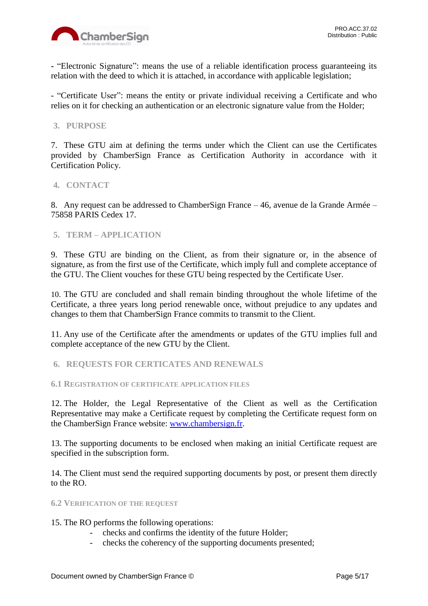

**-** "Electronic Signature": means the use of a reliable identification process guaranteeing its relation with the deed to which it is attached, in accordance with applicable legislation;

- "Certificate User": means the entity or private individual receiving a Certificate and who relies on it for checking an authentication or an electronic signature value from the Holder;

## <span id="page-4-0"></span>**3. PURPOSE**

7. These GTU aim at defining the terms under which the Client can use the Certificates provided by ChamberSign France as Certification Authority in accordance with it Certification Policy.

## <span id="page-4-1"></span>**4. CONTACT**

8. Any request can be addressed to ChamberSign France – 46, avenue de la Grande Armée – 75858 PARIS Cedex 17.

## <span id="page-4-2"></span>**5. TERM – APPLICATION**

9. These GTU are binding on the Client, as from their signature or, in the absence of signature, as from the first use of the Certificate, which imply full and complete acceptance of the GTU. The Client vouches for these GTU being respected by the Certificate User.

10. The GTU are concluded and shall remain binding throughout the whole lifetime of the Certificate, a three years long period renewable once, without prejudice to any updates and changes to them that ChamberSign France commits to transmit to the Client.

11. Any use of the Certificate after the amendments or updates of the GTU implies full and complete acceptance of the new GTU by the Client.

<span id="page-4-3"></span>**6. REQUESTS FOR CERTICATES AND RENEWALS**

<span id="page-4-4"></span>**6.1 REGISTRATION OF CERTIFICATE APPLICATION FILES**

12. The Holder, the Legal Representative of the Client as well as the Certification Representative may make a Certificate request by completing the Certificate request form on the ChamberSign France website: [www.chambersign.fr.](http://www.chambersign.fr/)

13. The supporting documents to be enclosed when making an initial Certificate request are specified in the subscription form.

14. The Client must send the required supporting documents by post, or present them directly to the RO.

### <span id="page-4-5"></span>**6.2 VERIFICATION OF THE REQUEST**

15. The RO performs the following operations:

- checks and confirms the identity of the future Holder;
- checks the coherency of the supporting documents presented;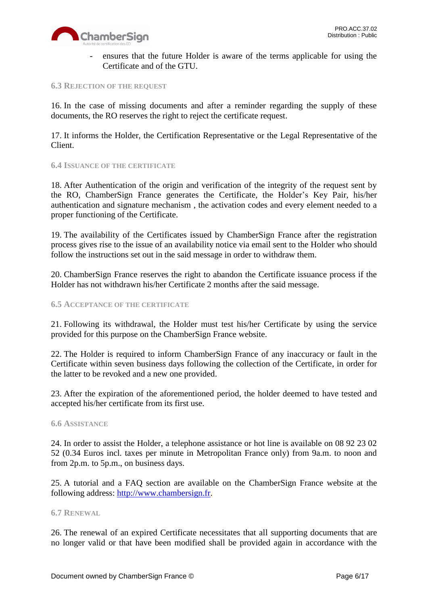

ensures that the future Holder is aware of the terms applicable for using the Certificate and of the GTU.

#### <span id="page-5-0"></span>**6.3 REJECTION OF THE REQUEST**

16. In the case of missing documents and after a reminder regarding the supply of these documents, the RO reserves the right to reject the certificate request.

17. It informs the Holder, the Certification Representative or the Legal Representative of the Client.

#### <span id="page-5-1"></span>**6.4 ISSUANCE OF THE CERTIFICATE**

18. After Authentication of the origin and verification of the integrity of the request sent by the RO, ChamberSign France generates the Certificate, the Holder's Key Pair, his/her authentication and signature mechanism , the activation codes and every element needed to a proper functioning of the Certificate.

19. The availability of the Certificates issued by ChamberSign France after the registration process gives rise to the issue of an availability notice via email sent to the Holder who should follow the instructions set out in the said message in order to withdraw them.

20. ChamberSign France reserves the right to abandon the Certificate issuance process if the Holder has not withdrawn his/her Certificate 2 months after the said message.

## <span id="page-5-2"></span>**6.5 ACCEPTANCE OF THE CERTIFICATE**

21. Following its withdrawal, the Holder must test his/her Certificate by using the service provided for this purpose on the ChamberSign France website.

22. The Holder is required to inform ChamberSign France of any inaccuracy or fault in the Certificate within seven business days following the collection of the Certificate, in order for the latter to be revoked and a new one provided.

23. After the expiration of the aforementioned period, the holder deemed to have tested and accepted his/her certificate from its first use.

#### <span id="page-5-3"></span>**6.6 ASSISTANCE**

24. In order to assist the Holder, a telephone assistance or hot line is available on 08 92 23 02 52 (0.34 Euros incl. taxes per minute in Metropolitan France only) from 9a.m. to noon and from 2p.m. to 5p.m., on business days.

25. A tutorial and a FAQ section are available on the ChamberSign France website at the following address: [http://www.chambersign.fr.](http://www.chambersign.fr/)

#### <span id="page-5-4"></span>**6.7 RENEWAL**

26. The renewal of an expired Certificate necessitates that all supporting documents that are no longer valid or that have been modified shall be provided again in accordance with the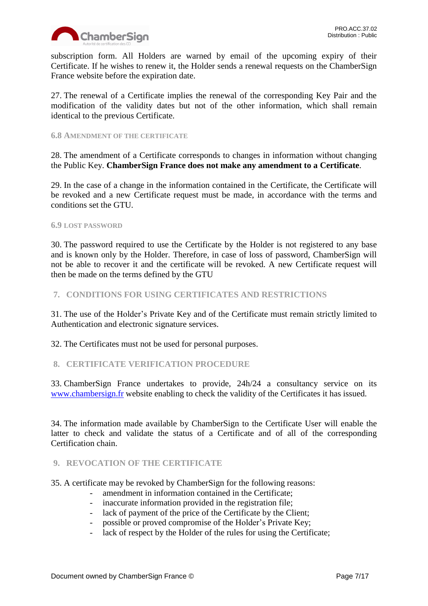

subscription form. All Holders are warned by email of the upcoming expiry of their Certificate. If he wishes to renew it, the Holder sends a renewal requests on the ChamberSign France website before the expiration date.

27. The renewal of a Certificate implies the renewal of the corresponding Key Pair and the modification of the validity dates but not of the other information, which shall remain identical to the previous Certificate.

## <span id="page-6-0"></span>**6.8 AMENDMENT OF THE CERTIFICATE**

28. The amendment of a Certificate corresponds to changes in information without changing the Public Key. **ChamberSign France does not make any amendment to a Certificate**.

29. In the case of a change in the information contained in the Certificate, the Certificate will be revoked and a new Certificate request must be made, in accordance with the terms and conditions set the GTU.

## <span id="page-6-1"></span>**6.9 LOST PASSWORD**

30. The password required to use the Certificate by the Holder is not registered to any base and is known only by the Holder. Therefore, in case of loss of password, ChamberSign will not be able to recover it and the certificate will be revoked. A new Certificate request will then be made on the terms defined by the GTU

## <span id="page-6-2"></span>**7. CONDITIONS FOR USING CERTIFICATES AND RESTRICTIONS**

31. The use of the Holder's Private Key and of the Certificate must remain strictly limited to Authentication and electronic signature services.

32. The Certificates must not be used for personal purposes.

## <span id="page-6-3"></span>**8. CERTIFICATE VERIFICATION PROCEDURE**

33. ChamberSign France undertakes to provide, 24h/24 a consultancy service on its [www.chambersign.fr](http://www.chambersign.fr/) website enabling to check the validity of the Certificates it has issued.

34. The information made available by ChamberSign to the Certificate User will enable the latter to check and validate the status of a Certificate and of all of the corresponding Certification chain.

## <span id="page-6-4"></span>**9. REVOCATION OF THE CERTIFICATE**

35. A certificate may be revoked by ChamberSign for the following reasons:

- amendment in information contained in the Certificate;
- inaccurate information provided in the registration file;
- lack of payment of the price of the Certificate by the Client;
- possible or proved compromise of the Holder's Private Key;
- lack of respect by the Holder of the rules for using the Certificate;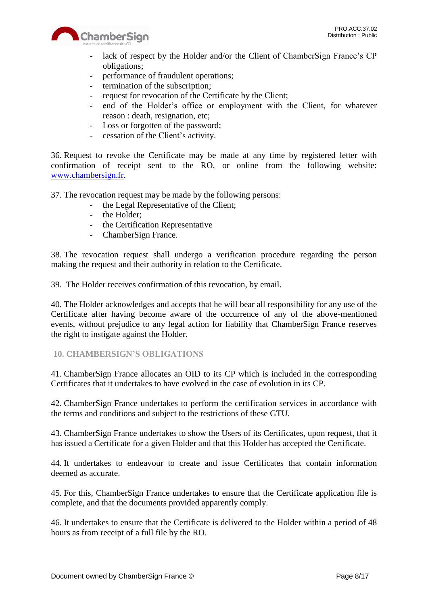

- lack of respect by the Holder and/or the Client of ChamberSign France's CP obligations;
- performance of fraudulent operations;
- termination of the subscription;
- request for revocation of the Certificate by the Client;
- end of the Holder's office or employment with the Client, for whatever reason : death, resignation, etc;
- Loss or forgotten of the password;
- cessation of the Client's activity.

36. Request to revoke the Certificate may be made at any time by registered letter with confirmation of receipt sent to the RO, or online from the following website: [www.chambersign.fr.](http://www.chambersign.fr/)

37. The revocation request may be made by the following persons:

- the Legal Representative of the Client;
- the Holder;
- the Certification Representative
- ChamberSign France.

38. The revocation request shall undergo a verification procedure regarding the person making the request and their authority in relation to the Certificate.

39. The Holder receives confirmation of this revocation, by email.

40. The Holder acknowledges and accepts that he will bear all responsibility for any use of the Certificate after having become aware of the occurrence of any of the above-mentioned events, without prejudice to any legal action for liability that ChamberSign France reserves the right to instigate against the Holder.

## <span id="page-7-0"></span>**10. CHAMBERSIGN'S OBLIGATIONS**

41. ChamberSign France allocates an OID to its CP which is included in the corresponding Certificates that it undertakes to have evolved in the case of evolution in its CP.

42. ChamberSign France undertakes to perform the certification services in accordance with the terms and conditions and subject to the restrictions of these GTU.

43. ChamberSign France undertakes to show the Users of its Certificates, upon request, that it has issued a Certificate for a given Holder and that this Holder has accepted the Certificate.

44. It undertakes to endeavour to create and issue Certificates that contain information deemed as accurate.

45. For this, ChamberSign France undertakes to ensure that the Certificate application file is complete, and that the documents provided apparently comply.

46. It undertakes to ensure that the Certificate is delivered to the Holder within a period of 48 hours as from receipt of a full file by the RO.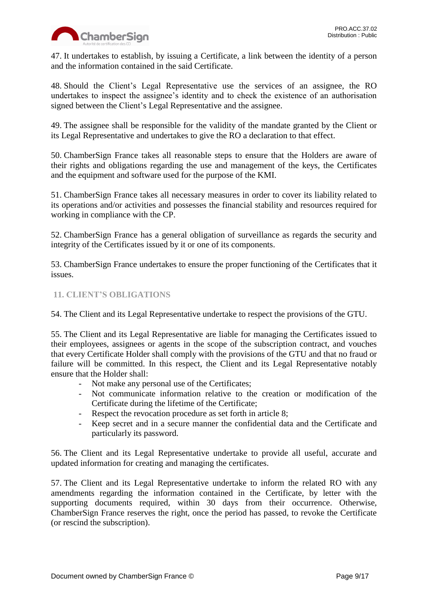

47. It undertakes to establish, by issuing a Certificate, a link between the identity of a person and the information contained in the said Certificate.

48. Should the Client's Legal Representative use the services of an assignee, the RO undertakes to inspect the assignee's identity and to check the existence of an authorisation signed between the Client's Legal Representative and the assignee.

49. The assignee shall be responsible for the validity of the mandate granted by the Client or its Legal Representative and undertakes to give the RO a declaration to that effect.

50. ChamberSign France takes all reasonable steps to ensure that the Holders are aware of their rights and obligations regarding the use and management of the keys, the Certificates and the equipment and software used for the purpose of the KMI.

51. ChamberSign France takes all necessary measures in order to cover its liability related to its operations and/or activities and possesses the financial stability and resources required for working in compliance with the CP.

52. ChamberSign France has a general obligation of surveillance as regards the security and integrity of the Certificates issued by it or one of its components.

53. ChamberSign France undertakes to ensure the proper functioning of the Certificates that it issues.

## <span id="page-8-0"></span>**11. CLIENT'S OBLIGATIONS**

54. The Client and its Legal Representative undertake to respect the provisions of the GTU.

55. The Client and its Legal Representative are liable for managing the Certificates issued to their employees, assignees or agents in the scope of the subscription contract, and vouches that every Certificate Holder shall comply with the provisions of the GTU and that no fraud or failure will be committed. In this respect, the Client and its Legal Representative notably ensure that the Holder shall:

- Not make any personal use of the Certificates;
- Not communicate information relative to the creation or modification of the Certificate during the lifetime of the Certificate;
- Respect the revocation procedure as set forth in article 8;
- Keep secret and in a secure manner the confidential data and the Certificate and particularly its password.

56. The Client and its Legal Representative undertake to provide all useful, accurate and updated information for creating and managing the certificates.

57. The Client and its Legal Representative undertake to inform the related RO with any amendments regarding the information contained in the Certificate, by letter with the supporting documents required, within 30 days from their occurrence. Otherwise, ChamberSign France reserves the right, once the period has passed, to revoke the Certificate (or rescind the subscription).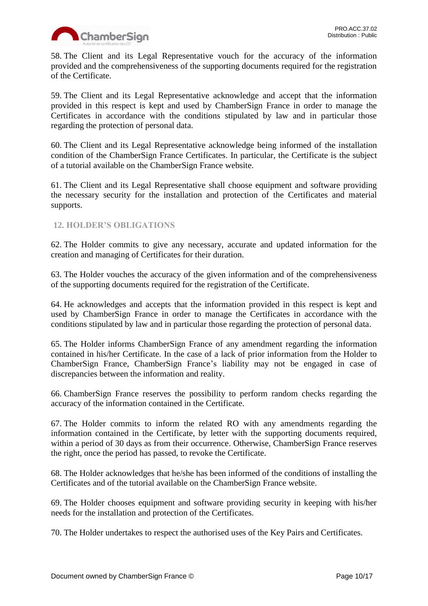

58. The Client and its Legal Representative vouch for the accuracy of the information provided and the comprehensiveness of the supporting documents required for the registration of the Certificate.

59. The Client and its Legal Representative acknowledge and accept that the information provided in this respect is kept and used by ChamberSign France in order to manage the Certificates in accordance with the conditions stipulated by law and in particular those regarding the protection of personal data.

60. The Client and its Legal Representative acknowledge being informed of the installation condition of the ChamberSign France Certificates. In particular, the Certificate is the subject of a tutorial available on the ChamberSign France website.

61. The Client and its Legal Representative shall choose equipment and software providing the necessary security for the installation and protection of the Certificates and material supports.

## <span id="page-9-0"></span>**12. HOLDER'S OBLIGATIONS**

62. The Holder commits to give any necessary, accurate and updated information for the creation and managing of Certificates for their duration.

63. The Holder vouches the accuracy of the given information and of the comprehensiveness of the supporting documents required for the registration of the Certificate.

64. He acknowledges and accepts that the information provided in this respect is kept and used by ChamberSign France in order to manage the Certificates in accordance with the conditions stipulated by law and in particular those regarding the protection of personal data.

65. The Holder informs ChamberSign France of any amendment regarding the information contained in his/her Certificate. In the case of a lack of prior information from the Holder to ChamberSign France, ChamberSign France's liability may not be engaged in case of discrepancies between the information and reality.

66. ChamberSign France reserves the possibility to perform random checks regarding the accuracy of the information contained in the Certificate.

67. The Holder commits to inform the related RO with any amendments regarding the information contained in the Certificate, by letter with the supporting documents required, within a period of 30 days as from their occurrence. Otherwise, ChamberSign France reserves the right, once the period has passed, to revoke the Certificate.

68. The Holder acknowledges that he/she has been informed of the conditions of installing the Certificates and of the tutorial available on the ChamberSign France website.

69. The Holder chooses equipment and software providing security in keeping with his/her needs for the installation and protection of the Certificates.

70. The Holder undertakes to respect the authorised uses of the Key Pairs and Certificates.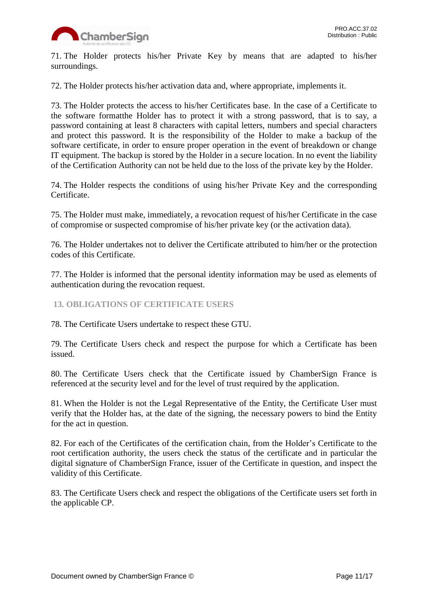

71. The Holder protects his/her Private Key by means that are adapted to his/her surroundings.

72. The Holder protects his/her activation data and, where appropriate, implements it.

73. The Holder protects the access to his/her Certificates base. In the case of a Certificate to the software formatthe Holder has to protect it with a strong password, that is to say, a password containing at least 8 characters with capital letters, numbers and special characters and protect this password. It is the responsibility of the Holder to make a backup of the software certificate, in order to ensure proper operation in the event of breakdown or change IT equipment. The backup is stored by the Holder in a secure location. In no event the liability of the Certification Authority can not be held due to the loss of the private key by the Holder.

74. The Holder respects the conditions of using his/her Private Key and the corresponding Certificate.

75. The Holder must make, immediately, a revocation request of his/her Certificate in the case of compromise or suspected compromise of his/her private key (or the activation data).

76. The Holder undertakes not to deliver the Certificate attributed to him/her or the protection codes of this Certificate.

77. The Holder is informed that the personal identity information may be used as elements of authentication during the revocation request.

<span id="page-10-0"></span>**13. OBLIGATIONS OF CERTIFICATE USERS**

78. The Certificate Users undertake to respect these GTU.

79. The Certificate Users check and respect the purpose for which a Certificate has been issued.

80. The Certificate Users check that the Certificate issued by ChamberSign France is referenced at the security level and for the level of trust required by the application.

81. When the Holder is not the Legal Representative of the Entity, the Certificate User must verify that the Holder has, at the date of the signing, the necessary powers to bind the Entity for the act in question.

82. For each of the Certificates of the certification chain, from the Holder's Certificate to the root certification authority, the users check the status of the certificate and in particular the digital signature of ChamberSign France, issuer of the Certificate in question, and inspect the validity of this Certificate.

83. The Certificate Users check and respect the obligations of the Certificate users set forth in the applicable CP.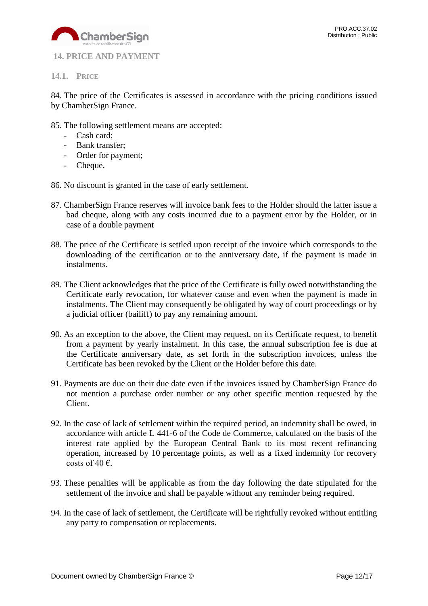

<span id="page-11-0"></span>**14. PRICE AND PAYMENT**

<span id="page-11-1"></span>**14.1. PRICE**

84. The price of the Certificates is assessed in accordance with the pricing conditions issued by ChamberSign France.

- 85. The following settlement means are accepted:
	- Cash card;
	- Bank transfer;
	- Order for payment;
	- Cheque.
- 86. No discount is granted in the case of early settlement.
- 87. ChamberSign France reserves will invoice bank fees to the Holder should the latter issue a bad cheque, along with any costs incurred due to a payment error by the Holder, or in case of a double payment
- 88. The price of the Certificate is settled upon receipt of the invoice which corresponds to the downloading of the certification or to the anniversary date, if the payment is made in instalments.
- 89. The Client acknowledges that the price of the Certificate is fully owed notwithstanding the Certificate early revocation, for whatever cause and even when the payment is made in instalments. The Client may consequently be obligated by way of court proceedings or by a judicial officer (bailiff) to pay any remaining amount.
- 90. As an exception to the above, the Client may request, on its Certificate request, to benefit from a payment by yearly instalment. In this case, the annual subscription fee is due at the Certificate anniversary date, as set forth in the subscription invoices, unless the Certificate has been revoked by the Client or the Holder before this date.
- 91. Payments are due on their due date even if the invoices issued by ChamberSign France do not mention a purchase order number or any other specific mention requested by the Client.
- 92. In the case of lack of settlement within the required period, an indemnity shall be owed, in accordance with article L 441-6 of the Code de Commerce, calculated on the basis of the interest rate applied by the European Central Bank to its most recent refinancing operation, increased by 10 percentage points, as well as a fixed indemnity for recovery costs of 40  $\epsilon$ .
- 93. These penalties will be applicable as from the day following the date stipulated for the settlement of the invoice and shall be payable without any reminder being required.
- 94. In the case of lack of settlement, the Certificate will be rightfully revoked without entitling any party to compensation or replacements.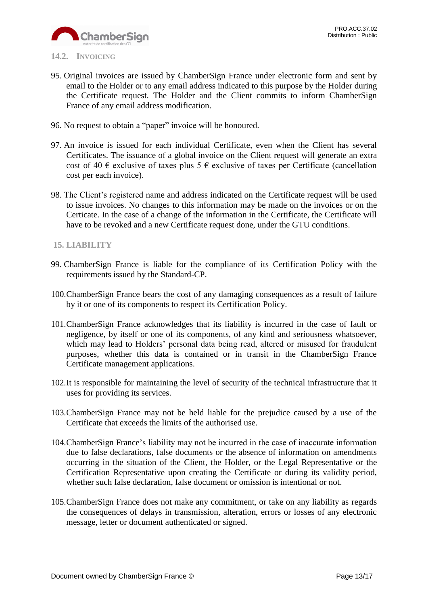

- <span id="page-12-0"></span>**14.2. INVOICING**
- 95. Original invoices are issued by ChamberSign France under electronic form and sent by email to the Holder or to any email address indicated to this purpose by the Holder during the Certificate request. The Holder and the Client commits to inform ChamberSign France of any email address modification.
- 96. No request to obtain a "paper" invoice will be honoured.
- 97. An invoice is issued for each individual Certificate, even when the Client has several Certificates. The issuance of a global invoice on the Client request will generate an extra cost of 40  $\epsilon$  exclusive of taxes plus 5  $\epsilon$  exclusive of taxes per Certificate (cancellation cost per each invoice).
- 98. The Client's registered name and address indicated on the Certificate request will be used to issue invoices. No changes to this information may be made on the invoices or on the Certicate. In the case of a change of the information in the Certificate, the Certificate will have to be revoked and a new Certificate request done, under the GTU conditions.

## <span id="page-12-1"></span>**15. LIABILITY**

- 99. ChamberSign France is liable for the compliance of its Certification Policy with the requirements issued by the Standard-CP.
- 100.ChamberSign France bears the cost of any damaging consequences as a result of failure by it or one of its components to respect its Certification Policy.
- 101.ChamberSign France acknowledges that its liability is incurred in the case of fault or negligence, by itself or one of its components, of any kind and seriousness whatsoever, which may lead to Holders' personal data being read, altered or misused for fraudulent purposes, whether this data is contained or in transit in the ChamberSign France Certificate management applications.
- 102.It is responsible for maintaining the level of security of the technical infrastructure that it uses for providing its services.
- 103.ChamberSign France may not be held liable for the prejudice caused by a use of the Certificate that exceeds the limits of the authorised use.
- 104.ChamberSign France's liability may not be incurred in the case of inaccurate information due to false declarations, false documents or the absence of information on amendments occurring in the situation of the Client, the Holder, or the Legal Representative or the Certification Representative upon creating the Certificate or during its validity period, whether such false declaration, false document or omission is intentional or not.
- 105.ChamberSign France does not make any commitment, or take on any liability as regards the consequences of delays in transmission, alteration, errors or losses of any electronic message, letter or document authenticated or signed.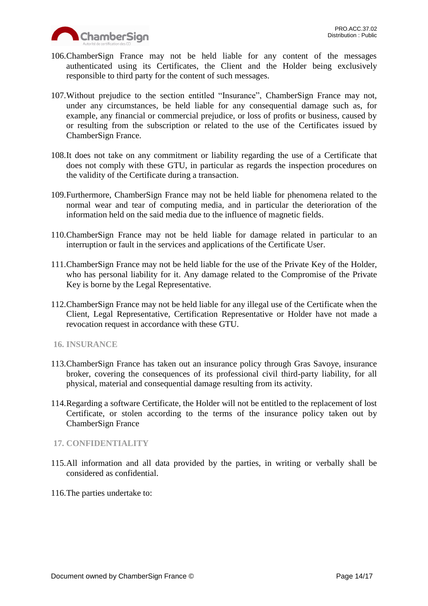

- 106.ChamberSign France may not be held liable for any content of the messages authenticated using its Certificates, the Client and the Holder being exclusively responsible to third party for the content of such messages.
- 107.Without prejudice to the section entitled "Insurance", ChamberSign France may not, under any circumstances, be held liable for any consequential damage such as, for example, any financial or commercial prejudice, or loss of profits or business, caused by or resulting from the subscription or related to the use of the Certificates issued by ChamberSign France.
- 108.It does not take on any commitment or liability regarding the use of a Certificate that does not comply with these GTU, in particular as regards the inspection procedures on the validity of the Certificate during a transaction.
- 109.Furthermore, ChamberSign France may not be held liable for phenomena related to the normal wear and tear of computing media, and in particular the deterioration of the information held on the said media due to the influence of magnetic fields.
- 110.ChamberSign France may not be held liable for damage related in particular to an interruption or fault in the services and applications of the Certificate User.
- 111.ChamberSign France may not be held liable for the use of the Private Key of the Holder, who has personal liability for it. Any damage related to the Compromise of the Private Key is borne by the Legal Representative.
- 112.ChamberSign France may not be held liable for any illegal use of the Certificate when the Client, Legal Representative, Certification Representative or Holder have not made a revocation request in accordance with these GTU.
- <span id="page-13-0"></span>**16. INSURANCE**
- 113.ChamberSign France has taken out an insurance policy through Gras Savoye, insurance broker, covering the consequences of its professional civil third-party liability, for all physical, material and consequential damage resulting from its activity.
- 114.Regarding a software Certificate, the Holder will not be entitled to the replacement of lost Certificate, or stolen according to the terms of the insurance policy taken out by ChamberSign France

## <span id="page-13-1"></span>**17. CONFIDENTIALITY**

- 115.All information and all data provided by the parties, in writing or verbally shall be considered as confidential.
- 116.The parties undertake to: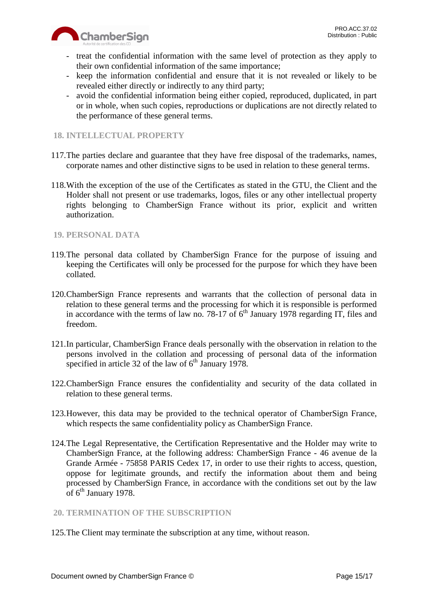

- treat the confidential information with the same level of protection as they apply to their own confidential information of the same importance;
- keep the information confidential and ensure that it is not revealed or likely to be revealed either directly or indirectly to any third party;
- avoid the confidential information being either copied, reproduced, duplicated, in part or in whole, when such copies, reproductions or duplications are not directly related to the performance of these general terms.

## <span id="page-14-0"></span>**18. INTELLECTUAL PROPERTY**

- 117.The parties declare and guarantee that they have free disposal of the trademarks, names, corporate names and other distinctive signs to be used in relation to these general terms.
- 118.With the exception of the use of the Certificates as stated in the GTU, the Client and the Holder shall not present or use trademarks, logos, files or any other intellectual property rights belonging to ChamberSign France without its prior, explicit and written authorization.

## <span id="page-14-1"></span>**19. PERSONAL DATA**

- 119.The personal data collated by ChamberSign France for the purpose of issuing and keeping the Certificates will only be processed for the purpose for which they have been collated.
- 120.ChamberSign France represents and warrants that the collection of personal data in relation to these general terms and the processing for which it is responsible is performed in accordance with the terms of law no. 78-17 of  $6<sup>th</sup>$  January 1978 regarding IT, files and freedom.
- 121.In particular, ChamberSign France deals personally with the observation in relation to the persons involved in the collation and processing of personal data of the information specified in article 32 of the law of  $6<sup>th</sup>$  January 1978.
- 122.ChamberSign France ensures the confidentiality and security of the data collated in relation to these general terms.
- 123.However, this data may be provided to the technical operator of ChamberSign France, which respects the same confidentiality policy as ChamberSign France.
- 124.The Legal Representative, the Certification Representative and the Holder may write to ChamberSign France, at the following address: ChamberSign France - 46 avenue de la Grande Armée - 75858 PARIS Cedex 17, in order to use their rights to access, question, oppose for legitimate grounds, and rectify the information about them and being processed by ChamberSign France, in accordance with the conditions set out by the law of  $6^{\text{th}}$  January 1978.

## <span id="page-14-2"></span>**20. TERMINATION OF THE SUBSCRIPTION**

125.The Client may terminate the subscription at any time, without reason.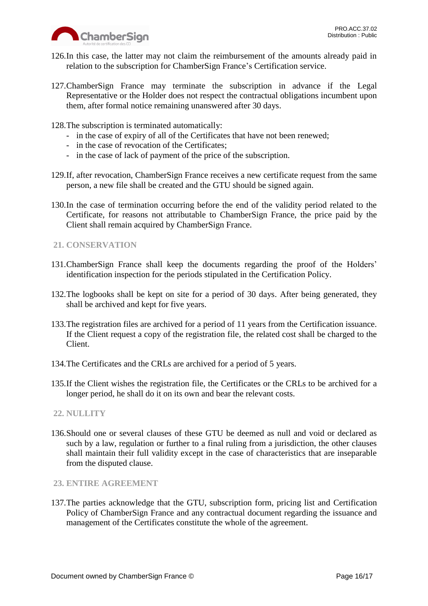

- 126.In this case, the latter may not claim the reimbursement of the amounts already paid in relation to the subscription for ChamberSign France's Certification service.
- 127.ChamberSign France may terminate the subscription in advance if the Legal Representative or the Holder does not respect the contractual obligations incumbent upon them, after formal notice remaining unanswered after 30 days.
- 128.The subscription is terminated automatically:
	- in the case of expiry of all of the Certificates that have not been renewed;
	- in the case of revocation of the Certificates;
	- in the case of lack of payment of the price of the subscription.
- 129.If, after revocation, ChamberSign France receives a new certificate request from the same person, a new file shall be created and the GTU should be signed again.
- 130.In the case of termination occurring before the end of the validity period related to the Certificate, for reasons not attributable to ChamberSign France, the price paid by the Client shall remain acquired by ChamberSign France.
- <span id="page-15-0"></span>**21. CONSERVATION**
- 131.ChamberSign France shall keep the documents regarding the proof of the Holders' identification inspection for the periods stipulated in the Certification Policy.
- 132.The logbooks shall be kept on site for a period of 30 days. After being generated, they shall be archived and kept for five years.
- 133.The registration files are archived for a period of 11 years from the Certification issuance. If the Client request a copy of the registration file, the related cost shall be charged to the Client.
- 134.The Certificates and the CRLs are archived for a period of 5 years.
- 135.If the Client wishes the registration file, the Certificates or the CRLs to be archived for a longer period, he shall do it on its own and bear the relevant costs.
- <span id="page-15-1"></span>**22. NULLITY**
- 136.Should one or several clauses of these GTU be deemed as null and void or declared as such by a law, regulation or further to a final ruling from a jurisdiction, the other clauses shall maintain their full validity except in the case of characteristics that are inseparable from the disputed clause.
- <span id="page-15-2"></span>**23. ENTIRE AGREEMENT**
- 137.The parties acknowledge that the GTU, subscription form, pricing list and Certification Policy of ChamberSign France and any contractual document regarding the issuance and management of the Certificates constitute the whole of the agreement.